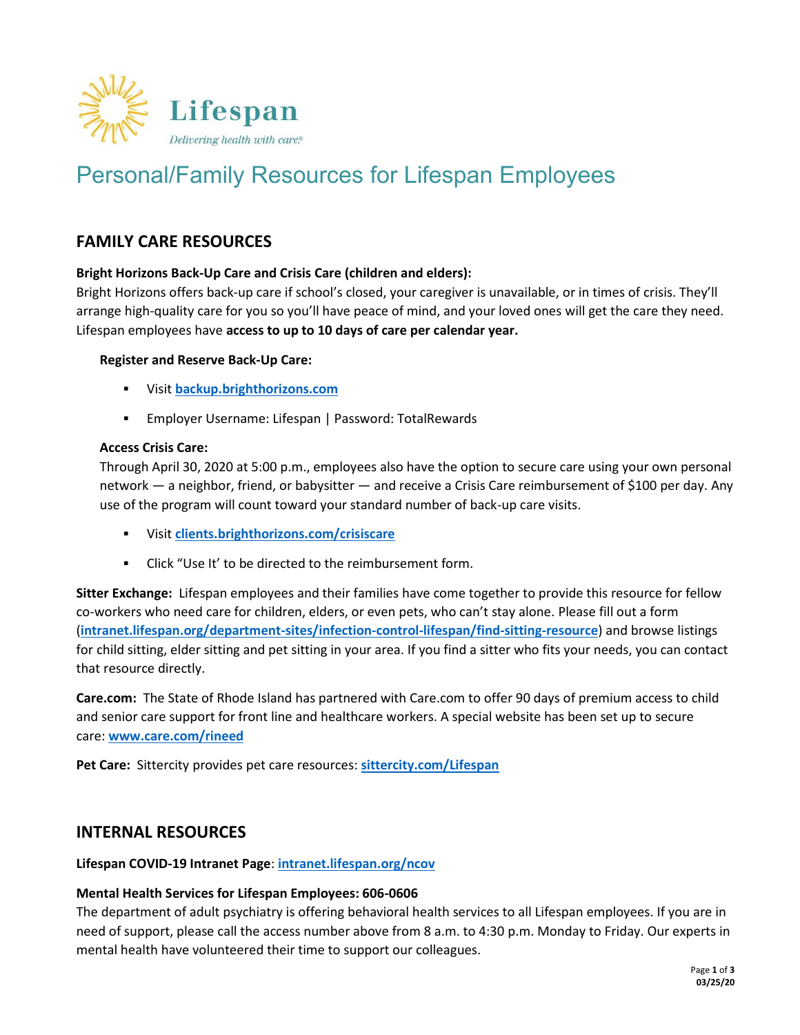

# Personal/Family Resources for Lifespan Employees

# **FAMILY CARE RESOURCES**

# **Bright Horizons Back-Up Care and Crisis Care (children and elders):**

Bright Horizons offers back-up care if school's closed, your caregiver is unavailable, or in times of crisis. They'll arrange high-quality care for you so you'll have peace of mind, and your loved ones will get the care they need. Lifespan employees have **access to up to 10 days of care per calendar year.**

# **Register and Reserve Back-Up Care:**

- Visit **[backup.brighthorizons.com](https://ssoportal.brighthorizons.com/prdsaauth/?SAMLRequest=lZJbj9owEIX%2FSuT3kAuwgEWoKGjVSLSNgN2HvlQTZyCWHDv1OPTy6%2BuEancr7SLto49m5nzjM0uCRrV83bla7%2FFHh%2BSCfJux7wLmgNOkDBdpCeFklqQhJAsIy9N8PqvupguYVSx4REvS6Iylo5gFOVGHuSYH2nkpTuMwHodpfExmfDzh6fQbC7beQWpwQ1ftXEs8iohMa6wDNSqtPNeuNlb%2BMZpGwjRRaysC8IAs2HgN%2B9ljFtwbK3DgztgJFGHvXwCRvOCTUljjjDDqo9SV1OeMdVZzAySJa2iQuBP8sP68456fl9ci4p%2BOxyIsvh6OLFgToe1he%2BuuQXtAe5ECH%2Fa7Z%2FyyVuYs9Wvw%2FfDorSEfCrBO%2B2ebV9kBRWeHhVjwq1Ga%2BBDNbeT2335steyr%2BZCAfdF%2Fu93%2F1hWMrd4XxTJ6YXf1bvkXPz%2FfFkZJ8buPpwGf1Fv2ySgZFFmFp6GUd5paFPIk0R%2FWWinzc2MRnA%2FT2c5nGa2urv9f6%2Bov&RelayState=https%3A%2F%2Fbackup.brighthorizons.com%3FredirectURL%3D%252F)**
- Employer Username: Lifespan | Password: TotalRewards

# **Access Crisis Care:**

Through April 30, 2020 at 5:00 p.m., employees also have the option to secure care using your own personal network — a neighbor, friend, or babysitter — and receive a Crisis Care reimbursement of \$100 per day. Any use of the program will count toward your standard number of back-up care visits.

- Visit **[clients.brighthorizons.com/crisiscare](https://clients.brighthorizons.com/crisiscare)**
- Click "Use It' to be directed to the reimbursement form.

**Sitter Exchange:** Lifespan employees and their families have come together to provide this resource for fellow co-workers who need care for children, elders, or even pets, who can't stay alone. Please fill out a form (**[intranet.lifespan.org/department-sites/infection-control-lifespan/find-sitting-resource](https://intranet.lifespan.org/department-sites/infection-control-lifespan/find-sitting-resource)**) and browse listings for child sitting, elder sitting and pet sitting in your area. If you find a sitter who fits your needs, you can contact that resource directly.

**Care.com:** The State of Rhode Island has partnered with Care.com to offer 90 days of premium access to child and senior care support for front line and healthcare workers. A special website has been set up to secure care: **[www.care.com/rineed](http://www.care.com/rineed)**

**Pet Care:** Sittercity provides pet care resources: **[sittercity.com/Lifespan](https://www.sittercity.com/Lifespan)**

# **INTERNAL RESOURCES**

# **Lifespan COVID-19 Intranet Page**: **[intranet.lifespan.org/ncov](https://intranet.lifespan.org/ncov)**

# **Mental Health Services for Lifespan Employees: 606-0606**

The department of adult psychiatry is offering behavioral health services to all Lifespan employees. If you are in need of support, please call the access number above from 8 a.m. to 4:30 p.m. Monday to Friday. Our experts in mental health have volunteered their time to support our colleagues.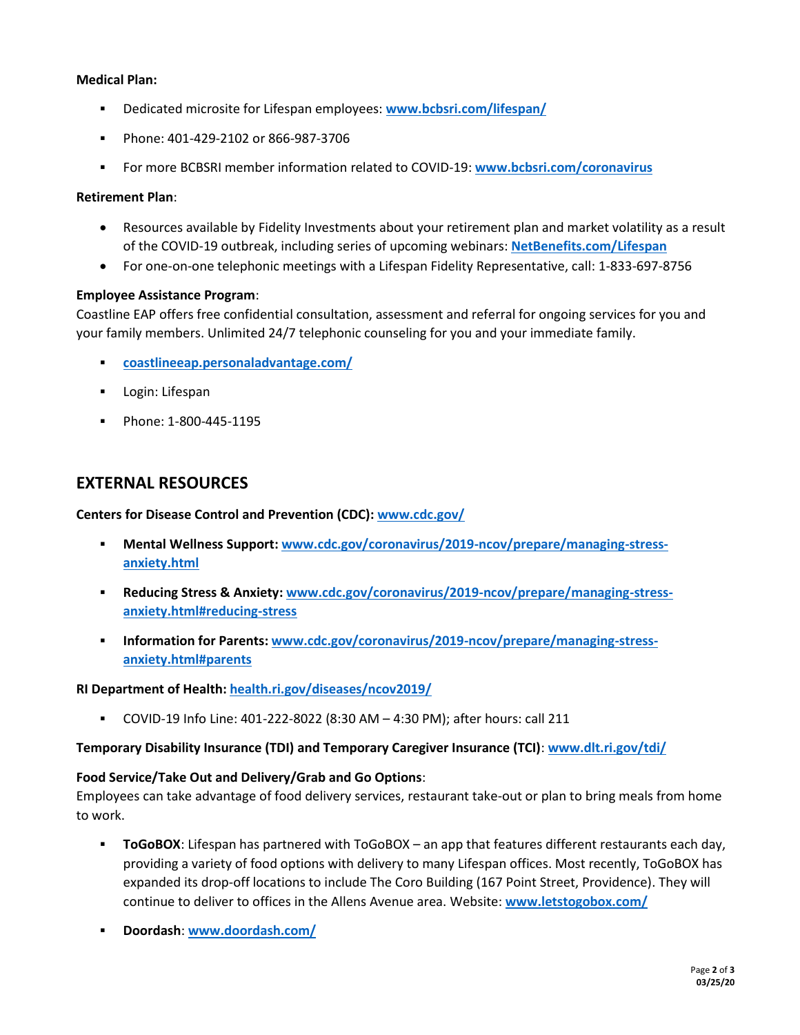# **Medical Plan:**

- Dedicated microsite for Lifespan employees: **[www.bcbsri.com/lifespan/](http://www.bcbsri.com/lifespan/)**
- Phone: 401-429-2102 or 866-987-3706
- For more BCBSRI member information related to COVID-19: **[www.bcbsri.com/coronavirus](http://www.bcbsri.com/coronavirus)**

# **Retirement Plan**:

- Resources available by Fidelity Investments about your retirement plan and market volatility as a result of the COVID-19 outbreak, including series of upcoming webinars: **[NetBenefits.com/Lifespan](https://nb.fidelity.com/public/nb/Lifespan/home)**
- For one-on-one telephonic meetings with a Lifespan Fidelity Representative, call: 1-833-697-8756

# **Employee Assistance Program**:

Coastline EAP offers free confidential consultation, assessment and referral for ongoing services for you and your family members. Unlimited 24/7 telephonic counseling for you and your immediate family.

- **[coastlineeap.personaladvantage.com/](https://coastlineeap.personaladvantage.com/)**
- Login: Lifespan
- Phone: 1-800-445-1195

# **EXTERNAL RESOURCES**

**Centers for Disease Control and Prevention (CDC): [www.cdc.gov/](https://www.cdc.gov/)**

- **Mental Wellness Support[: www.cdc.gov/coronavirus/2019-ncov/prepare/managing-stress](https://www.cdc.gov/coronavirus/2019-ncov/prepare/managing-stress-anxiety.html)[anxiety.html](https://www.cdc.gov/coronavirus/2019-ncov/prepare/managing-stress-anxiety.html)**
- **Reducing Stress & Anxiety: [www.cdc.gov/coronavirus/2019-ncov/prepare/managing-stress](https://www.cdc.gov/coronavirus/2019-ncov/prepare/managing-stress-anxiety.html#reducing-stress)[anxiety.html#reducing-stress](https://www.cdc.gov/coronavirus/2019-ncov/prepare/managing-stress-anxiety.html#reducing-stress)**
- **Information for Parents: [www.cdc.gov/coronavirus/2019-ncov/prepare/managing-stress](https://www.cdc.gov/coronavirus/2019-ncov/prepare/managing-stress-anxiety.html#parents)[anxiety.html#parents](https://www.cdc.gov/coronavirus/2019-ncov/prepare/managing-stress-anxiety.html#parents)**

# **RI Department of Health: [health.ri.gov/diseases/ncov2019/](https://health.ri.gov/diseases/ncov2019/)**

▪ COVID-19 Info Line: 401-222-8022 (8:30 AM – 4:30 PM); after hours: call 211

# **Temporary Disability Insurance (TDI) and Temporary Caregiver Insurance (TCI)**: **[www.dlt.ri.gov/tdi/](http://www.dlt.ri.gov/tdi/)**

# **Food Service/Take Out and Delivery/Grab and Go Options**:

Employees can take advantage of food delivery services, restaurant take-out or plan to bring meals from home to work.

- **ToGoBOX**: Lifespan has partnered with ToGoBOX an app that features different restaurants each day, providing a variety of food options with delivery to many Lifespan offices. Most recently, ToGoBOX has expanded its drop-off locations to include The Coro Building (167 Point Street, Providence). They will continue to deliver to offices in the Allens Avenue area. Website: **[www.letstogobox.com/](http://www.letstogobox.com/)**
- **Doordash**: **[www.doordash.com/](http://www.doordash.com/)**